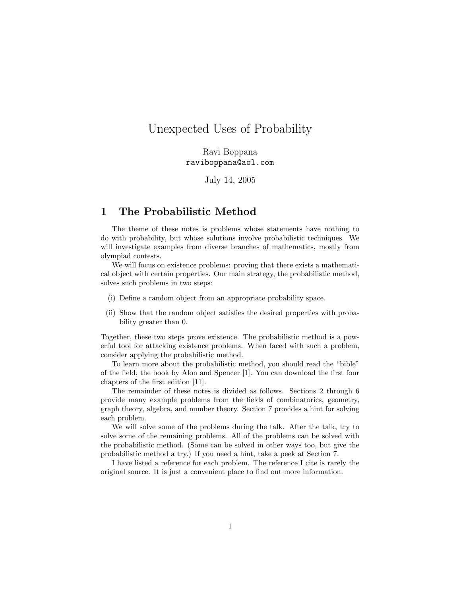# Unexpected Uses of Probability

Ravi Boppana raviboppana@aol.com

July 14, 2005

# 1 The Probabilistic Method

The theme of these notes is problems whose statements have nothing to do with probability, but whose solutions involve probabilistic techniques. We will investigate examples from diverse branches of mathematics, mostly from olympiad contests.

We will focus on existence problems: proving that there exists a mathematical object with certain properties. Our main strategy, the probabilistic method, solves such problems in two steps:

- (i) Define a random object from an appropriate probability space.
- (ii) Show that the random object satisfies the desired properties with probability greater than 0.

Together, these two steps prove existence. The probabilistic method is a powerful tool for attacking existence problems. When faced with such a problem, consider applying the probabilistic method.

To learn more about the probabilistic method, you should read the "bible" of the field, the book by Alon and Spencer [1]. You can download the first four chapters of the first edition [11].

The remainder of these notes is divided as follows. Sections 2 through 6 provide many example problems from the fields of combinatorics, geometry, graph theory, algebra, and number theory. Section 7 provides a hint for solving each problem.

We will solve some of the problems during the talk. After the talk, try to solve some of the remaining problems. All of the problems can be solved with the probabilistic method. (Some can be solved in other ways too, but give the probabilistic method a try.) If you need a hint, take a peek at Section 7.

I have listed a reference for each problem. The reference I cite is rarely the original source. It is just a convenient place to find out more information.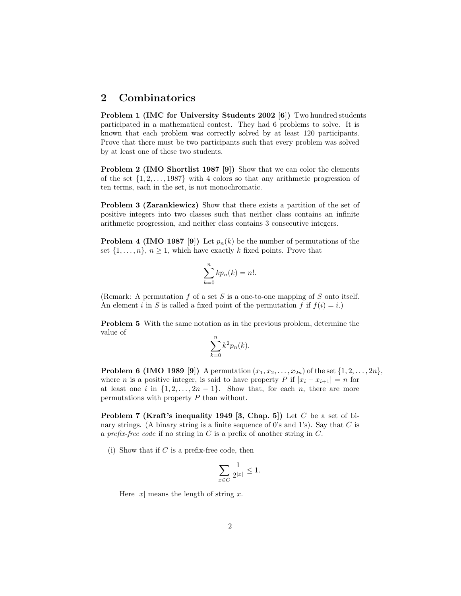# 2 Combinatorics

Problem 1 (IMC for University Students 2002 [6]) Two hundred students participated in a mathematical contest. They had 6 problems to solve. It is known that each problem was correctly solved by at least 120 participants. Prove that there must be two participants such that every problem was solved by at least one of these two students.

Problem 2 (IMO Shortlist 1987 [9]) Show that we can color the elements of the set  $\{1, 2, \ldots, 1987\}$  with 4 colors so that any arithmetic progression of ten terms, each in the set, is not monochromatic.

Problem 3 (Zarankiewicz) Show that there exists a partition of the set of positive integers into two classes such that neither class contains an infinite arithmetic progression, and neither class contains 3 consecutive integers.

**Problem 4 (IMO 1987 [9])** Let  $p_n(k)$  be the number of permutations of the set  $\{1, \ldots, n\}, n \geq 1$ , which have exactly k fixed points. Prove that

$$
\sum_{k=0}^{n} k p_n(k) = n!.
$$

(Remark: A permutation  $f$  of a set  $S$  is a one-to-one mapping of  $S$  onto itself. An element i in S is called a fixed point of the permutation f if  $f(i) = i$ .

Problem 5 With the same notation as in the previous problem, determine the value of

$$
\sum_{k=0}^{n} k^2 p_n(k).
$$

**Problem 6 (IMO 1989 [9])** A permutation  $(x_1, x_2, ..., x_{2n})$  of the set  $\{1, 2, ..., 2n\}$ , where *n* is a positive integer, is said to have property P if  $|x_i - x_{i+1}| = n$  for at least one i in  $\{1, 2, \ldots, 2n-1\}$ . Show that, for each n, there are more permutations with property P than without.

**Problem 7 (Kraft's inequality 1949 [3, Chap. 5])** Let  $C$  be a set of binary strings. (A binary string is a finite sequence of 0's and 1's). Say that  $C$  is a prefix-free code if no string in  $C$  is a prefix of another string in  $C$ .

(i) Show that if  $C$  is a prefix-free code, then

$$
\sum_{x \in C} \frac{1}{2^{|x|}} \le 1.
$$

Here  $|x|$  means the length of string x.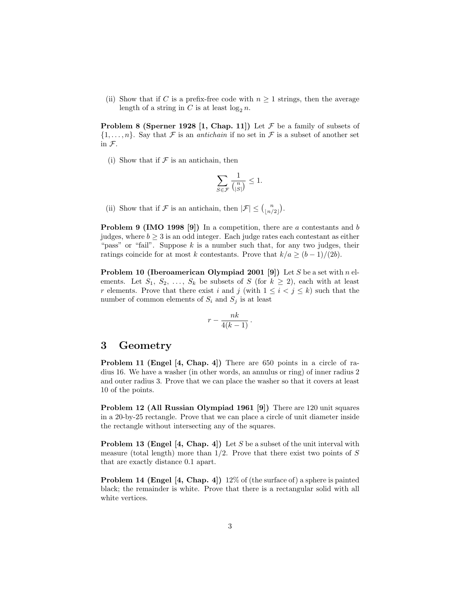(ii) Show that if C is a prefix-free code with  $n \geq 1$  strings, then the average length of a string in C is at least  $\log_2 n$ .

**Problem 8 (Sperner 1928 [1, Chap. 11])** Let  $\mathcal F$  be a family of subsets of  $\{1,\ldots,n\}$ . Say that F is an *antichain* if no set in F is a subset of another set in F.

(i) Show that if  $\mathcal F$  is an antichain, then

$$
\sum_{S\in\mathcal{F}}\frac{1}{{n\choose |S|}}\leq 1.
$$

(ii) Show that if F is an antichain, then  $|\mathcal{F}| \leq {n \choose \lfloor n/2 \rfloor}$ .

**Problem 9 (IMO 1998 [9])** In a competition, there are a contestants and b judges, where  $b \geq 3$  is an odd integer. Each judge rates each contestant as either "pass" or "fail". Suppose  $k$  is a number such that, for any two judges, their ratings coincide for at most k contestants. Prove that  $k/a \ge (b-1)/(2b)$ .

**Problem 10 (Iberoamerican Olympiad 2001 [9])** Let S be a set with n elements. Let  $S_1, S_2, \ldots, S_k$  be subsets of S (for  $k \geq 2$ ), each with at least r elements. Prove that there exist i and j (with  $1 \leq i < j \leq k$ ) such that the number of common elements of  $S_i$  and  $S_j$  is at least

$$
r-\frac{nk}{4(k-1)}\,.
$$

## 3 Geometry

Problem 11 (Engel [4, Chap. 4]) There are 650 points in a circle of radius 16. We have a washer (in other words, an annulus or ring) of inner radius 2 and outer radius 3. Prove that we can place the washer so that it covers at least 10 of the points.

Problem 12 (All Russian Olympiad 1961 [9]) There are 120 unit squares in a 20-by-25 rectangle. Prove that we can place a circle of unit diameter inside the rectangle without intersecting any of the squares.

**Problem 13 (Engel [4, Chap. 4])** Let S be a subset of the unit interval with measure (total length) more than  $1/2$ . Prove that there exist two points of S that are exactly distance 0.1 apart.

Problem 14 (Engel [4, Chap. 4]) 12% of (the surface of) a sphere is painted black; the remainder is white. Prove that there is a rectangular solid with all white vertices.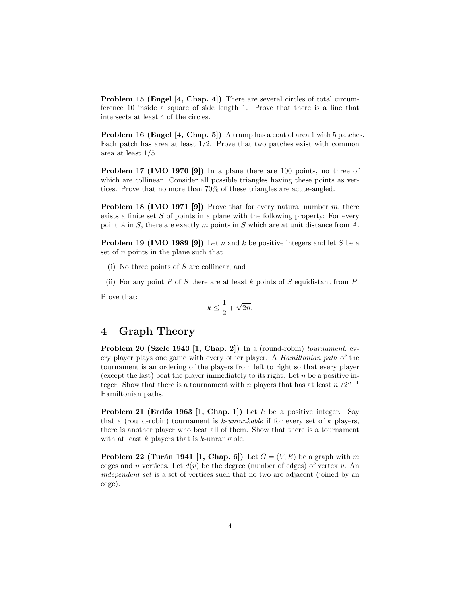Problem 15 (Engel [4, Chap. 4]) There are several circles of total circumference 10 inside a square of side length 1. Prove that there is a line that intersects at least 4 of the circles.

Problem 16 (Engel [4, Chap. 5]) A tramp has a coat of area 1 with 5 patches. Each patch has area at least  $1/2$ . Prove that two patches exist with common area at least 1/5.

Problem 17 (IMO 1970 [9]) In a plane there are 100 points, no three of which are collinear. Consider all possible triangles having these points as vertices. Prove that no more than 70% of these triangles are acute-angled.

**Problem 18 (IMO 1971 [9])** Prove that for every natural number  $m$ , there exists a finite set  $S$  of points in a plane with the following property: For every point A in S, there are exactly  $m$  points in S which are at unit distance from A.

**Problem 19 (IMO 1989 [9])** Let n and k be positive integers and let S be a set of  $n$  points in the plane such that

(i) No three points of S are collinear, and

(ii) For any point  $P$  of  $S$  there are at least  $k$  points of  $S$  equidistant from  $P$ .

Prove that:

$$
k \le \frac{1}{2} + \sqrt{2n}.
$$

# 4 Graph Theory

Problem 20 (Szele 1943 [1, Chap. 2]) In a (round-robin) tournament, every player plays one game with every other player. A Hamiltonian path of the tournament is an ordering of the players from left to right so that every player (except the last) beat the player immediately to its right. Let  $n$  be a positive integer. Show that there is a tournament with n players that has at least  $n!/2^{n-1}$ Hamiltonian paths.

**Problem 21 (Erdős 1963 [1, Chap. 1])** Let  $k$  be a positive integer. Say that a (round-robin) tournament is k-unrankable if for every set of  $k$  players, there is another player who beat all of them. Show that there is a tournament with at least  $k$  players that is  $k$ -unrankable.

**Problem 22 (Turán 1941 [1, Chap. 6])** Let  $G = (V, E)$  be a graph with m edges and n vertices. Let  $d(v)$  be the degree (number of edges) of vertex v. An independent set is a set of vertices such that no two are adjacent (joined by an edge).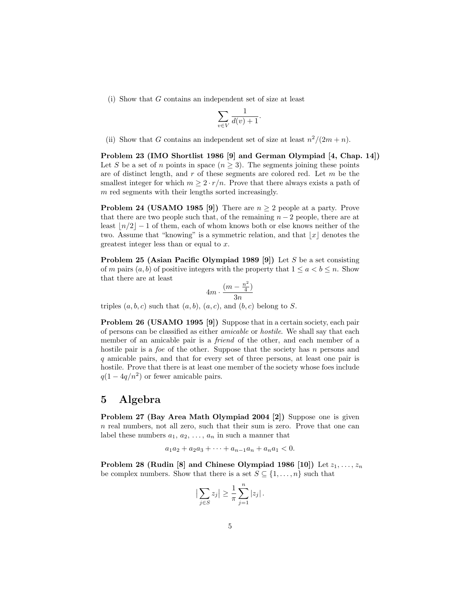(i) Show that G contains an independent set of size at least

$$
\sum_{v \in V} \frac{1}{d(v)+1}.
$$

(ii) Show that G contains an independent set of size at least  $n^2/(2m+n)$ .

Problem 23 (IMO Shortlist 1986 [9] and German Olympiad [4, Chap. 14]) Let S be a set of n points in space  $(n \geq 3)$ . The segments joining these points are of distinct length, and  $r$  of these segments are colored red. Let  $m$  be the smallest integer for which  $m \geq 2 \cdot r/n$ . Prove that there always exists a path of m red segments with their lengths sorted increasingly.

**Problem 24 (USAMO 1985 [9])** There are  $n \geq 2$  people at a party. Prove that there are two people such that, of the remaining  $n-2$  people, there are at least  $\lfloor n/2 \rfloor - 1$  of them, each of whom knows both or else knows neither of the two. Assume that "knowing" is a symmetric relation, and that  $|x|$  denotes the greatest integer less than or equal to x.

Problem 25 (Asian Pacific Olympiad 1989 [9]) Let S be a set consisting of m pairs  $(a, b)$  of positive integers with the property that  $1 \le a < b \le n$ . Show that there are at least

$$
4m\cdot\frac{(m-\frac{n^2}{4})}{3n}
$$

triples  $(a, b, c)$  such that  $(a, b), (a, c),$  and  $(b, c)$  belong to S.

Problem 26 (USAMO 1995 [9]) Suppose that in a certain society, each pair of persons can be classified as either amicable or hostile. We shall say that each member of an amicable pair is a friend of the other, and each member of a hostile pair is a *foe* of the other. Suppose that the society has n persons and q amicable pairs, and that for every set of three persons, at least one pair is hostile. Prove that there is at least one member of the society whose foes include  $q(1-4q/n^2)$  or fewer amicable pairs.

# 5 Algebra

Problem 27 (Bay Area Math Olympiad 2004 [2]) Suppose one is given n real numbers, not all zero, such that their sum is zero. Prove that one can label these numbers  $a_1, a_2, \ldots, a_n$  in such a manner that

$$
a_1a_2 + a_2a_3 + \dots + a_{n-1}a_n + a_na_1 < 0.
$$

Problem 28 (Rudin [8] and Chinese Olympiad 1986 [10]) Let  $z_1, \ldots, z_n$ be complex numbers. Show that there is a set  $S \subseteq \{1, \ldots, n\}$  such that

$$
\left|\sum_{j\in S}z_j\right|\geq \frac{1}{\pi}\sum_{j=1}^n|z_j|.
$$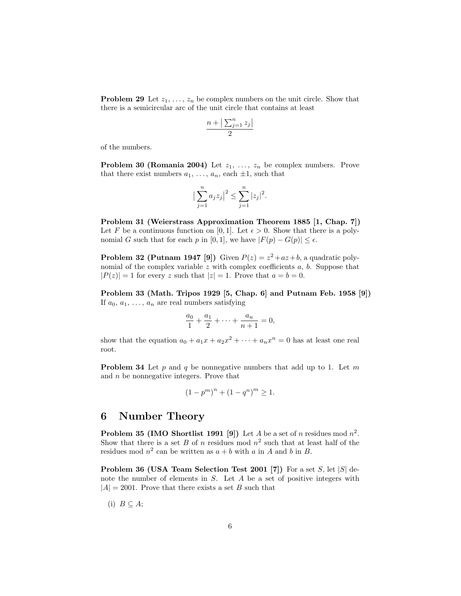**Problem 29** Let  $z_1, \ldots, z_n$  be complex numbers on the unit circle. Show that there is a semicircular arc of the unit circle that contains at least

$$
\frac{n+ \left| \sum_{j=1}^n z_j \right|}{2}
$$

of the numbers.

**Problem 30 (Romania 2004)** Let  $z_1, \ldots, z_n$  be complex numbers. Prove that there exist numbers  $a_1, \ldots, a_n$ , each  $\pm 1$ , such that

$$
\left|\sum_{j=1}^n a_j z_j\right|^2 \le \sum_{j=1}^n |z_j|^2.
$$

Problem 31 (Weierstrass Approximation Theorem 1885 [1, Chap. 7]) Let F be a continuous function on [0, 1]. Let  $\epsilon > 0$ . Show that there is a polynomial G such that for each p in [0, 1], we have  $|F(p) - G(p)| \leq \epsilon$ .

**Problem 32 (Putnam 1947 [9])** Given  $P(z) = z^2 + az + b$ , a quadratic polynomial of the complex variable  $z$  with complex coefficients  $a, b$ . Suppose that  $|P(z)| = 1$  for every z such that  $|z| = 1$ . Prove that  $a = b = 0$ .

Problem 33 (Math. Tripos 1929 [5, Chap. 6] and Putnam Feb. 1958 [9]) If  $a_0, a_1, \ldots, a_n$  are real numbers satisfying

$$
\frac{a_0}{1} + \frac{a_1}{2} + \dots + \frac{a_n}{n+1} = 0,
$$

show that the equation  $a_0 + a_1x + a_2x^2 + \cdots + a_nx^n = 0$  has at least one real root.

**Problem 34** Let  $p$  and  $q$  be nonnegative numbers that add up to 1. Let  $m$ and  $n$  be nonnegative integers. Prove that

$$
(1 - pm)n + (1 - qn)m \ge 1.
$$

## 6 Number Theory

**Problem 35 (IMO Shortlist 1991 [9])** Let A be a set of n residues mod  $n^2$ . Show that there is a set B of n residues mod  $n^2$  such that at least half of the residues mod  $n^2$  can be written as  $a + b$  with a in A and b in B.

**Problem 36 (USA Team Selection Test 2001 [7])** For a set S, let  $|S|$  denote the number of elements in S. Let A be a set of positive integers with  $|A| = 2001$ . Prove that there exists a set B such that

$$
(i) B \subseteq A;
$$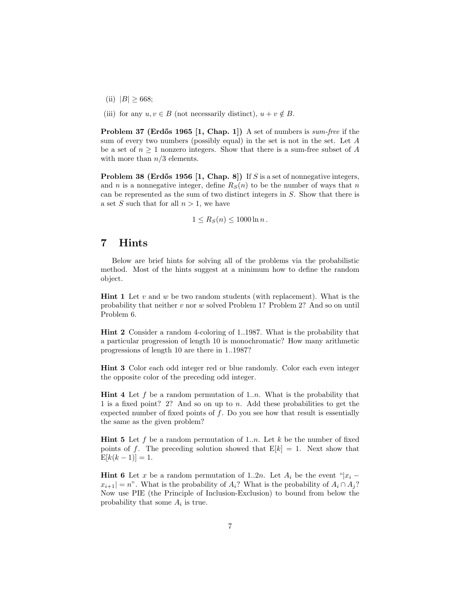- (ii)  $|B| \ge 668;$
- (iii) for any  $u, v \in B$  (not necessarily distinct),  $u + v \notin B$ .

Problem 37 (Erdős 1965 [1, Chap. 1]) A set of numbers is sum-free if the sum of every two numbers (possibly equal) in the set is not in the set. Let A be a set of  $n \geq 1$  nonzero integers. Show that there is a sum-free subset of A with more than  $n/3$  elements.

**Problem 38 (Erdős 1956 [1, Chap. 8])** If S is a set of nonnegative integers, and n is a nonnegative integer, define  $R<sub>S</sub>(n)$  to be the number of ways that n can be represented as the sum of two distinct integers in S. Show that there is a set S such that for all  $n > 1$ , we have

$$
1 \le R_S(n) \le 1000 \ln n.
$$

# 7 Hints

Below are brief hints for solving all of the problems via the probabilistic method. Most of the hints suggest at a minimum how to define the random object.

**Hint 1** Let  $v$  and  $w$  be two random students (with replacement). What is the probability that neither v nor w solved Problem 1? Problem 2? And so on until Problem 6.

Hint 2 Consider a random 4-coloring of 1..1987. What is the probability that a particular progression of length 10 is monochromatic? How many arithmetic progressions of length 10 are there in 1..1987?

Hint 3 Color each odd integer red or blue randomly. Color each even integer the opposite color of the preceding odd integer.

**Hint 4** Let f be a random permutation of 1..*n*. What is the probability that 1 is a fixed point? 2? And so on up to n. Add these probabilities to get the expected number of fixed points of  $f$ . Do you see how that result is essentially the same as the given problem?

**Hint 5** Let f be a random permutation of 1.n. Let k be the number of fixed points of f. The preceding solution showed that  $E[k] = 1$ . Next show that  $E[k(k-1)] = 1.$ 

**Hint 6** Let x be a random permutation of 1..2n. Let  $A_i$  be the event "|x<sub>i</sub> −  $x_{i+1} = n$ ". What is the probability of  $A_i$ ? What is the probability of  $A_i \cap A_j$ ? Now use PIE (the Principle of Inclusion-Exclusion) to bound from below the probability that some  $A_i$  is true.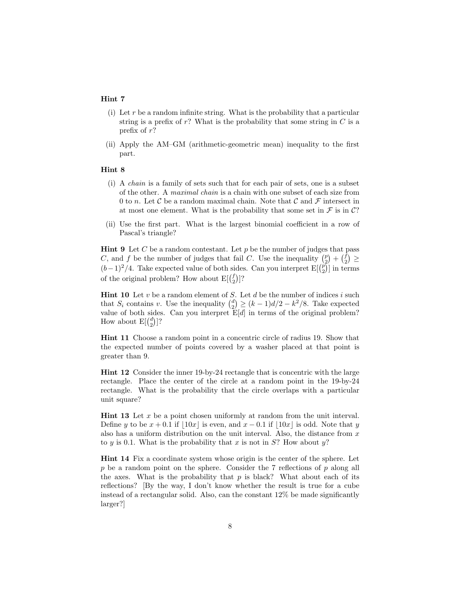#### Hint 7

- (i) Let r be a random infinite string. What is the probability that a particular string is a prefix of  $r$ ? What is the probability that some string in  $C$  is a prefix of r?
- (ii) Apply the AM–GM (arithmetic-geometric mean) inequality to the first part.

### Hint 8

- (i) A chain is a family of sets such that for each pair of sets, one is a subset of the other. A maximal chain is a chain with one subset of each size from 0 to n. Let C be a random maximal chain. Note that C and F intersect in at most one element. What is the probability that some set in  $\mathcal F$  is in  $\mathcal C$ ?
- (ii) Use the first part. What is the largest binomial coefficient in a row of Pascal's triangle?

**Hint 9** Let C be a random contestant. Let p be the number of judges that pass C, and f be the number of judges that fail C. Use the inequality  $\binom{p}{2} + \binom{f}{2} \geq$  $(b-1)^2/4$ . Take expected value of both sides. Can you interpret E[ $\binom{p}{2}$ ] in terms of the original problem? How about  $E[{f \choose 2}]$ ?

**Hint 10** Let v be a random element of S. Let d be the number of indices i such that  $S_i$  contains v. Use the inequality  $\binom{d}{2} \ge (k-1)d/2 - k^2/8$ . Take expected value of both sides. Can you interpret  $E[d]$  in terms of the original problem? How about  $E\begin{bmatrix} \begin{pmatrix} d \\ 2 \end{pmatrix} \end{bmatrix}$ ?

Hint 11 Choose a random point in a concentric circle of radius 19. Show that the expected number of points covered by a washer placed at that point is greater than 9.

Hint 12 Consider the inner 19-by-24 rectangle that is concentric with the large rectangle. Place the center of the circle at a random point in the 19-by-24 rectangle. What is the probability that the circle overlaps with a particular unit square?

**Hint 13** Let  $x$  be a point chosen uniformly at random from the unit interval. Define y to be  $x + 0.1$  if  $\vert 10x \vert$  is even, and  $x - 0.1$  if  $\vert 10x \vert$  is odd. Note that y also has a uniform distribution on the unit interval. Also, the distance from  $x$ to y is 0.1. What is the probability that x is not in  $S$ ? How about y?

Hint 14 Fix a coordinate system whose origin is the center of the sphere. Let  $p$  be a random point on the sphere. Consider the 7 reflections of  $p$  along all the axes. What is the probability that  $p$  is black? What about each of its reflections? [By the way, I don't know whether the result is true for a cube instead of a rectangular solid. Also, can the constant 12% be made significantly larger?]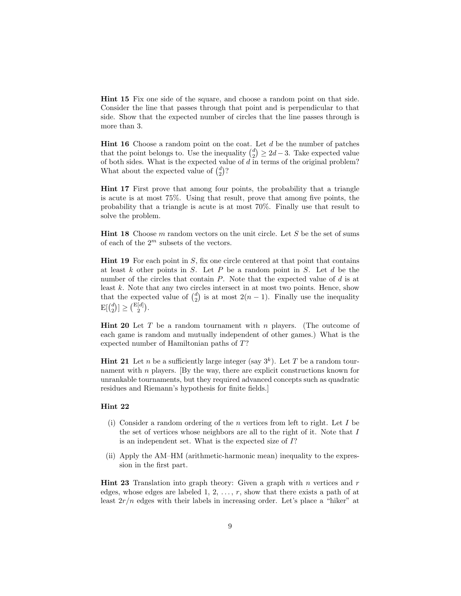Hint 15 Fix one side of the square, and choose a random point on that side. Consider the line that passes through that point and is perpendicular to that side. Show that the expected number of circles that the line passes through is more than 3.

**Hint 16** Choose a random point on the coat. Let  $d$  be the number of patches that the point belongs to. Use the inequality  $\binom{d}{2} \geq 2d-3$ . Take expected value of both sides. What is the expected value of  $d$  in terms of the original problem? What about the expected value of  $\binom{d}{2}$ ?

Hint 17 First prove that among four points, the probability that a triangle is acute is at most 75%. Using that result, prove that among five points, the probability that a triangle is acute is at most 70%. Finally use that result to solve the problem.

**Hint 18** Choose m random vectors on the unit circle. Let S be the set of sums of each of the  $2^m$  subsets of the vectors.

**Hint 19** For each point in  $S$ , fix one circle centered at that point that contains at least  $k$  other points in  $S$ . Let  $P$  be a random point in  $S$ . Let  $d$  be the number of the circles that contain  $P$ . Note that the expected value of  $d$  is at least k. Note that any two circles intersect in at most two points. Hence, show that the expected value of  $\binom{d}{2}$  is at most  $2(n-1)$ . Finally use the inequality  $\mathrm{E}[\binom{d}{2}] \geq \binom{\mathrm{E}[d]}{2}.$ 

**Hint 20** Let T be a random tournament with n players. (The outcome of each game is random and mutually independent of other games.) What is the expected number of Hamiltonian paths of T?

**Hint 21** Let *n* be a sufficiently large integer (say  $3^k$ ). Let *T* be a random tournament with n players. [By the way, there are explicit constructions known for unrankable tournaments, but they required advanced concepts such as quadratic residues and Riemann's hypothesis for finite fields.]

### Hint 22

- (i) Consider a random ordering of the n vertices from left to right. Let  $I$  be the set of vertices whose neighbors are all to the right of it. Note that I is an independent set. What is the expected size of I?
- (ii) Apply the AM–HM (arithmetic-harmonic mean) inequality to the expression in the first part.

**Hint 23** Translation into graph theory: Given a graph with  $n$  vertices and  $r$ edges, whose edges are labeled  $1, 2, \ldots, r$ , show that there exists a path of at least  $2r/n$  edges with their labels in increasing order. Let's place a "hiker" at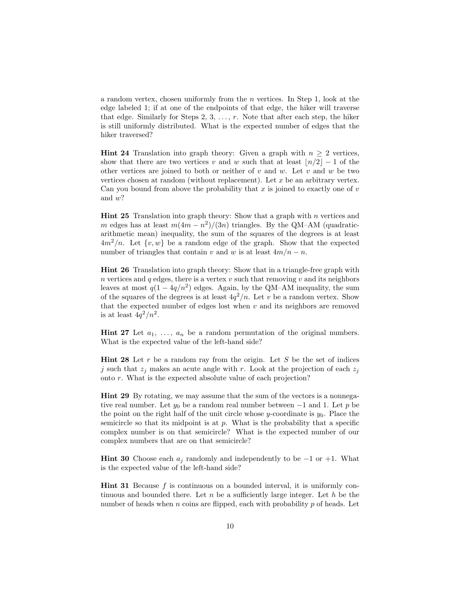a random vertex, chosen uniformly from the n vertices. In Step 1, look at the edge labeled 1; if at one of the endpoints of that edge, the hiker will traverse that edge. Similarly for Steps 2, 3,  $\dots$ , r. Note that after each step, the hiker is still uniformly distributed. What is the expected number of edges that the hiker traversed?

**Hint 24** Translation into graph theory: Given a graph with  $n \geq 2$  vertices, show that there are two vertices v and w such that at least  $\lfloor n/2 \rfloor - 1$  of the other vertices are joined to both or neither of v and w. Let v and w be two vertices chosen at random (without replacement). Let  $x$  be an arbitrary vertex. Can you bound from above the probability that x is joined to exactly one of  $v$ and w?

**Hint 25** Translation into graph theory: Show that a graph with  $n$  vertices and m edges has at least  $m(4m - n^2)/(3n)$  triangles. By the QM–AM (quadraticarithmetic mean) inequality, the sum of the squares of the degrees is at least  $4m^2/n$ . Let  $\{v, w\}$  be a random edge of the graph. Show that the expected number of triangles that contain v and w is at least  $4m/n - n$ .

Hint 26 Translation into graph theory: Show that in a triangle-free graph with n vertices and  $q$  edges, there is a vertex  $v$  such that removing  $v$  and its neighbors leaves at most  $q(1-4q/n^2)$  edges. Again, by the QM–AM inequality, the sum of the squares of the degrees is at least  $4q^2/n$ . Let v be a random vertex. Show that the expected number of edges lost when  $v$  and its neighbors are removed is at least  $4q^2/n^2$ .

**Hint 27** Let  $a_1, \ldots, a_n$  be a random permutation of the original numbers. What is the expected value of the left-hand side?

**Hint 28** Let  $r$  be a random ray from the origin. Let  $S$  be the set of indices j such that  $z_j$  makes an acute angle with r. Look at the projection of each  $z_j$ onto r. What is the expected absolute value of each projection?

Hint 29 By rotating, we may assume that the sum of the vectors is a nonnegative real number. Let  $y_0$  be a random real number between  $-1$  and 1. Let p be the point on the right half of the unit circle whose  $y$ -coordinate is  $y_0$ . Place the semicircle so that its midpoint is at  $p$ . What is the probability that a specific complex number is on that semicircle? What is the expected number of our complex numbers that are on that semicircle?

**Hint 30** Choose each  $a_j$  randomly and independently to be  $-1$  or  $+1$ . What is the expected value of the left-hand side?

Hint 31 Because f is continuous on a bounded interval, it is uniformly continuous and bounded there. Let  $n$  be a sufficiently large integer. Let  $h$  be the number of heads when  $n$  coins are flipped, each with probability  $p$  of heads. Let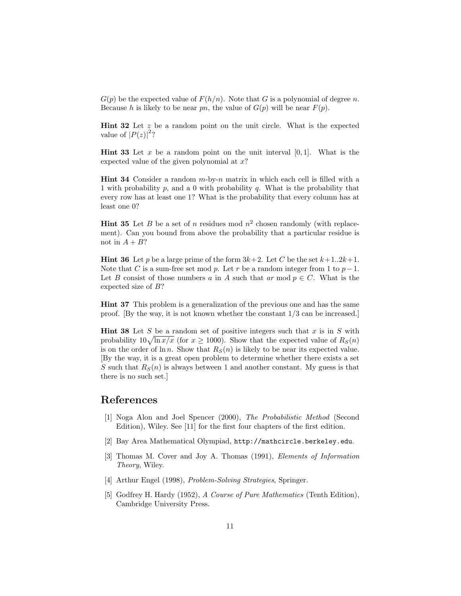$G(p)$  be the expected value of  $F(h/n)$ . Note that G is a polynomial of degree n. Because h is likely to be near pn, the value of  $G(p)$  will be near  $F(p)$ .

**Hint 32** Let  $z$  be a random point on the unit circle. What is the expected value of  $|P(z)|^2$ ?

**Hint 33** Let x be a random point on the unit interval  $[0, 1]$ . What is the expected value of the given polynomial at  $x$ ?

Hint 34 Consider a random m-by-n matrix in which each cell is filled with a 1 with probability p, and a 0 with probability q. What is the probability that every row has at least one 1? What is the probability that every column has at least one 0?

**Hint 35** Let B be a set of n residues mod  $n^2$  chosen randomly (with replacement). Can you bound from above the probability that a particular residue is not in  $A + B$ ?

**Hint 36** Let p be a large prime of the form  $3k+2$ . Let C be the set  $k+1..2k+1$ . Note that C is a sum-free set mod p. Let r be a random integer from 1 to  $p-1$ . Let B consist of those numbers a in A such that ar mod  $p \in C$ . What is the expected size of B?

Hint 37 This problem is a generalization of the previous one and has the same proof. [By the way, it is not known whether the constant 1/3 can be increased.]

**Hint 38** Let S be a random set of positive integers such that  $x$  is in  $S$  with probability  $10\sqrt{\ln x/x}$  (for  $x \ge 1000$ ). Show that the expected value of  $R_S(n)$ is on the order of  $\ln n$ . Show that  $R_S(n)$  is likely to be near its expected value. [By the way, it is a great open problem to determine whether there exists a set S such that  $R<sub>S</sub>(n)$  is always between 1 and another constant. My guess is that there is no such set.]

# References

- [1] Noga Alon and Joel Spencer (2000), The Probabilistic Method (Second Edition), Wiley. See [11] for the first four chapters of the first edition.
- [2] Bay Area Mathematical Olympiad, http://mathcircle.berkeley.edu.
- [3] Thomas M. Cover and Joy A. Thomas (1991), Elements of Information Theory, Wiley.
- [4] Arthur Engel (1998), Problem-Solving Strategies, Springer.
- [5] Godfrey H. Hardy (1952), A Course of Pure Mathematics (Tenth Edition), Cambridge University Press.